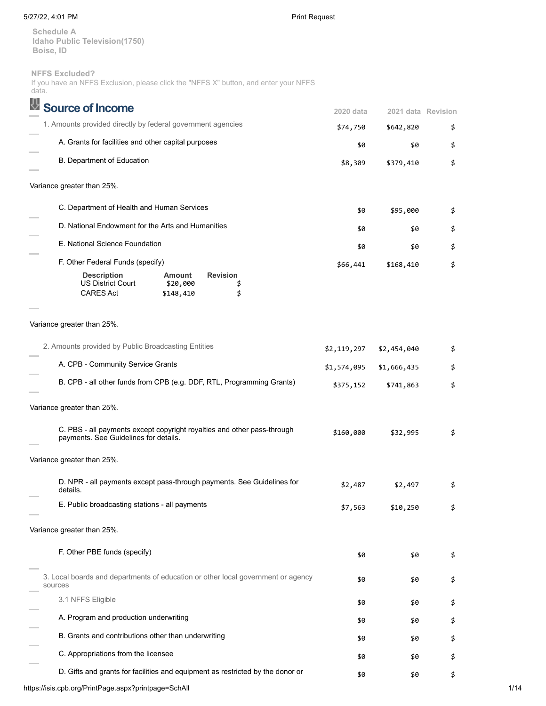## 5/27/22, 4:01 PM Print Request

**Schedule A Idaho Public Television(1750) Boise, ID**

## **NFFS Excluded?**

If you have an NFFS Exclusion, please click the "NFFS X" button, and enter your NFFS data.

| <b>Source of Income</b>                                                                                                                     | 2020 data   | 2021 data Revision |    |
|---------------------------------------------------------------------------------------------------------------------------------------------|-------------|--------------------|----|
| 1. Amounts provided directly by federal government agencies                                                                                 | \$74,750    | \$642,820          | \$ |
| A. Grants for facilities and other capital purposes                                                                                         | \$0         | \$0                | \$ |
| B. Department of Education                                                                                                                  | \$8,309     | \$379,410          | \$ |
| Variance greater than 25%.                                                                                                                  |             |                    |    |
| C. Department of Health and Human Services                                                                                                  | \$0         | \$95,000           | \$ |
| D. National Endowment for the Arts and Humanities                                                                                           | \$0         | \$0                | \$ |
| E. National Science Foundation                                                                                                              | \$0         | \$0                | \$ |
| F. Other Federal Funds (specify)                                                                                                            | \$66,441    | \$168,410          | \$ |
| <b>Revision</b><br><b>Description</b><br><b>Amount</b><br><b>US District Court</b><br>\$20,000<br>\$<br><b>CARES Act</b><br>\$<br>\$148,410 |             |                    |    |
|                                                                                                                                             |             |                    |    |
| Variance greater than 25%.                                                                                                                  |             |                    |    |
| 2. Amounts provided by Public Broadcasting Entities                                                                                         | \$2,119,297 | \$2,454,040        | \$ |
| A. CPB - Community Service Grants                                                                                                           | \$1,574,095 | \$1,666,435        | \$ |
| B. CPB - all other funds from CPB (e.g. DDF, RTL, Programming Grants)                                                                       | \$375,152   | \$741,863          | \$ |
| Variance greater than 25%.                                                                                                                  |             |                    |    |
| C. PBS - all payments except copyright royalties and other pass-through<br>payments. See Guidelines for details.                            | \$160,000   | \$32,995           | \$ |
| Variance greater than 25%.                                                                                                                  |             |                    |    |
| D. NPR - all payments except pass-through payments. See Guidelines for<br>details.                                                          | \$2,487     | \$2,497            | \$ |
| E. Public broadcasting stations - all payments                                                                                              | \$7,563     | \$10,250           | \$ |
| Variance greater than 25%.                                                                                                                  |             |                    |    |
| F. Other PBE funds (specify)                                                                                                                | \$0         | \$0                | \$ |
| 3. Local boards and departments of education or other local government or agency<br>sources                                                 | \$0         | \$0                | \$ |
| 3.1 NFFS Eligible                                                                                                                           | \$0         | \$0                | \$ |
| A. Program and production underwriting                                                                                                      | \$0         | \$0                | \$ |
| B. Grants and contributions other than underwriting                                                                                         | \$0         | \$0                | \$ |
| C. Appropriations from the licensee                                                                                                         | \$0         | \$0                | \$ |
| D. Gifts and grants for facilities and equipment as restricted by the donor or                                                              | \$0         | \$0                | \$ |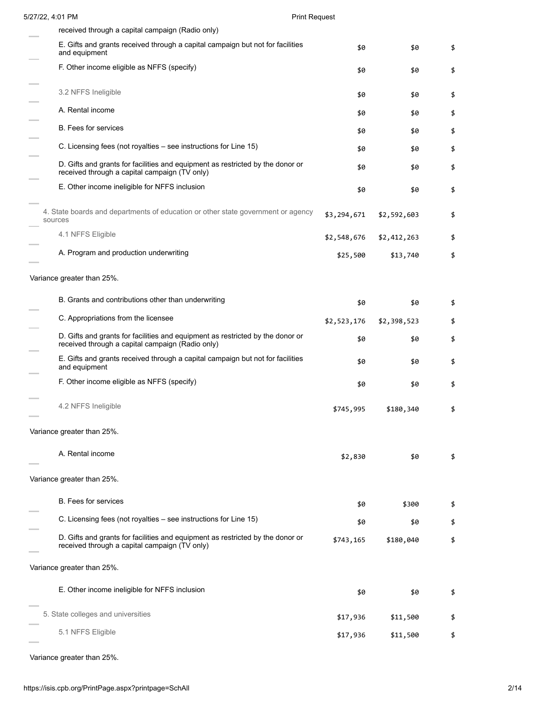| 5/27/22, 4:01 PM                                                                                                                   | <b>Print Request</b> |             |    |
|------------------------------------------------------------------------------------------------------------------------------------|----------------------|-------------|----|
| received through a capital campaign (Radio only)                                                                                   |                      |             |    |
| E. Gifts and grants received through a capital campaign but not for facilities<br>and equipment                                    | \$0                  | \$0         | \$ |
| F. Other income eligible as NFFS (specify)                                                                                         | \$0                  | \$0         | \$ |
| 3.2 NFFS Ineligible                                                                                                                | \$0                  | \$0         | \$ |
| A. Rental income                                                                                                                   | \$0                  | \$0         | \$ |
| <b>B.</b> Fees for services                                                                                                        | \$0                  | \$0         | \$ |
| C. Licensing fees (not royalties – see instructions for Line 15)                                                                   | \$0                  | \$0         | \$ |
| D. Gifts and grants for facilities and equipment as restricted by the donor or<br>received through a capital campaign (TV only)    | \$0                  | \$0         | \$ |
| E. Other income ineligible for NFFS inclusion                                                                                      | \$0                  | \$0         | \$ |
| 4. State boards and departments of education or other state government or agency<br>sources                                        | \$3,294,671          | \$2,592,603 | \$ |
| 4.1 NFFS Eligible                                                                                                                  | \$2,548,676          | \$2,412,263 | \$ |
| A. Program and production underwriting                                                                                             | \$25,500             | \$13,740    | \$ |
| Variance greater than 25%.                                                                                                         |                      |             |    |
| B. Grants and contributions other than underwriting                                                                                | \$0                  | \$0         | \$ |
| C. Appropriations from the licensee                                                                                                | \$2,523,176          | \$2,398,523 | \$ |
| D. Gifts and grants for facilities and equipment as restricted by the donor or<br>received through a capital campaign (Radio only) | \$0                  | \$0         | \$ |
| E. Gifts and grants received through a capital campaign but not for facilities<br>and equipment                                    | \$0                  | \$0         | \$ |
| F. Other income eligible as NFFS (specify)                                                                                         | \$0                  | \$0         | \$ |
| 4.2 NFFS Ineligible                                                                                                                | \$745,995            | \$180,340   | \$ |
| Variance greater than 25%.                                                                                                         |                      |             |    |
| A. Rental income                                                                                                                   | \$2,830              | \$0         | \$ |
| Variance greater than 25%.                                                                                                         |                      |             |    |
| <b>B.</b> Fees for services                                                                                                        | \$0                  | \$300       | \$ |
| C. Licensing fees (not royalties – see instructions for Line 15)                                                                   | \$0                  | \$0         | \$ |
| D. Gifts and grants for facilities and equipment as restricted by the donor or<br>received through a capital campaign (TV only)    | \$743,165            | \$180,040   | \$ |
| Variance greater than 25%.                                                                                                         |                      |             |    |
| E. Other income ineligible for NFFS inclusion                                                                                      |                      |             |    |
|                                                                                                                                    | \$0                  | \$0         | \$ |
| 5. State colleges and universities                                                                                                 | \$17,936             | \$11,500    | \$ |
| 5.1 NFFS Eligible                                                                                                                  | \$17,936             | \$11,500    | \$ |
|                                                                                                                                    |                      |             |    |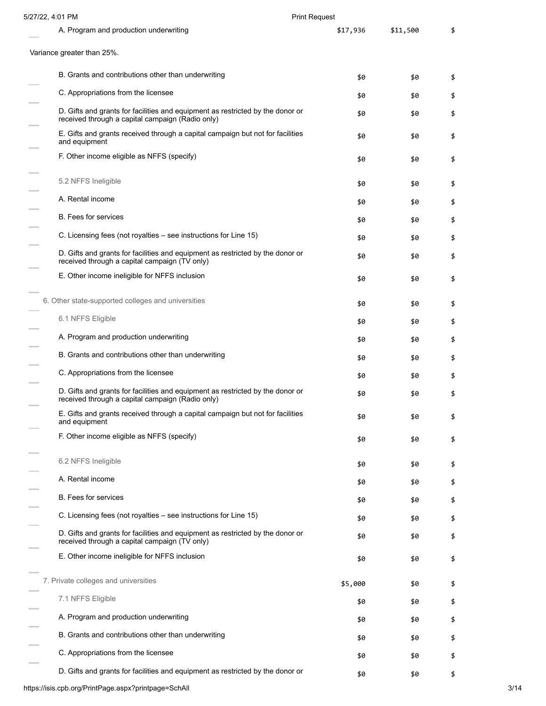| 5/27/22, 4:01 PM                                                                                                                   | <b>Print Request</b> |          |    |
|------------------------------------------------------------------------------------------------------------------------------------|----------------------|----------|----|
| A. Program and production underwriting                                                                                             | \$17,936             | \$11,500 | \$ |
| Variance greater than 25%.                                                                                                         |                      |          |    |
| B. Grants and contributions other than underwriting                                                                                | \$0                  | \$0      | \$ |
| C. Appropriations from the licensee                                                                                                | \$0                  | \$0      | \$ |
| D. Gifts and grants for facilities and equipment as restricted by the donor or<br>received through a capital campaign (Radio only) | \$0                  | \$0      | \$ |
| E. Gifts and grants received through a capital campaign but not for facilities<br>and equipment                                    | \$0                  | \$0      | \$ |
| F. Other income eligible as NFFS (specify)                                                                                         | \$0                  | \$0      | \$ |
| 5.2 NFFS Ineligible                                                                                                                | \$0                  | \$0      | \$ |
| A. Rental income                                                                                                                   | \$0                  | \$0      | \$ |
| <b>B.</b> Fees for services                                                                                                        | \$0                  | \$0      | \$ |
| C. Licensing fees (not royalties – see instructions for Line 15)                                                                   | \$0                  | \$0      | \$ |
| D. Gifts and grants for facilities and equipment as restricted by the donor or<br>received through a capital campaign (TV only)    | \$0                  | \$0      | \$ |
| E. Other income ineligible for NFFS inclusion                                                                                      | \$0                  | \$0      | \$ |
| 6. Other state-supported colleges and universities                                                                                 | \$0                  | \$0      | \$ |
| 6.1 NFFS Eligible                                                                                                                  | \$0                  | \$0      | \$ |
| A. Program and production underwriting                                                                                             | \$0                  | \$0      | \$ |
| B. Grants and contributions other than underwriting                                                                                | \$0                  | \$0      | \$ |
| C. Appropriations from the licensee                                                                                                | \$0                  | \$0      | \$ |
| D. Gifts and grants for facilities and equipment as restricted by the donor or<br>received through a capital campaign (Radio only) | \$0                  | \$0      | \$ |
| E. Gifts and grants received through a capital campaign but not for facilities<br>and equipment                                    | \$0                  | \$0      | \$ |
| F. Other income eligible as NFFS (specify)                                                                                         | \$0                  | \$0      | \$ |
| 6.2 NFFS Ineligible                                                                                                                | \$0                  | \$0      | \$ |
| A. Rental income                                                                                                                   | \$0                  | \$0      | \$ |
| <b>B.</b> Fees for services                                                                                                        | \$0                  | \$0      | \$ |
| C. Licensing fees (not royalties – see instructions for Line 15)                                                                   | \$0                  | \$0      | \$ |
| D. Gifts and grants for facilities and equipment as restricted by the donor or<br>received through a capital campaign (TV only)    | \$0                  | \$0      | \$ |
| E. Other income ineligible for NFFS inclusion                                                                                      | \$0                  | \$0      | \$ |
| 7. Private colleges and universities                                                                                               | \$5,000              | \$0      | \$ |
| 7.1 NFFS Eligible                                                                                                                  | \$0                  | \$0      | \$ |
| A. Program and production underwriting                                                                                             | \$0                  | \$0      | \$ |
| B. Grants and contributions other than underwriting                                                                                | \$0                  | \$0      | \$ |
| C. Appropriations from the licensee                                                                                                | \$0                  | \$0      | \$ |
| D. Gifts and grants for facilities and equipment as restricted by the donor or                                                     | \$0                  | \$0      | \$ |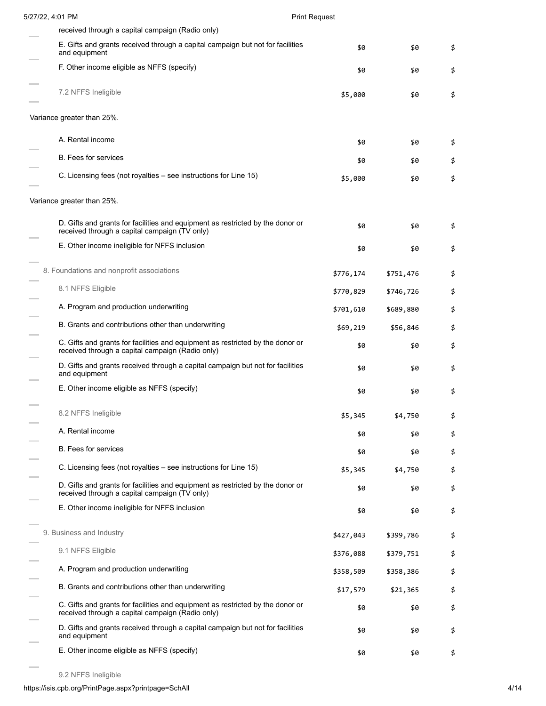| 5/27/22, 4:01 PM                                                                                                                   | <b>Print Request</b> |           |    |
|------------------------------------------------------------------------------------------------------------------------------------|----------------------|-----------|----|
| received through a capital campaign (Radio only)                                                                                   |                      |           |    |
| E. Gifts and grants received through a capital campaign but not for facilities<br>and equipment                                    | \$0                  | \$0       | \$ |
| F. Other income eligible as NFFS (specify)                                                                                         | \$0                  | \$0       | \$ |
| 7.2 NFFS Ineligible                                                                                                                | \$5,000              | \$0       | \$ |
| Variance greater than 25%.                                                                                                         |                      |           |    |
| A. Rental income                                                                                                                   | \$0                  | \$0       | \$ |
| <b>B.</b> Fees for services                                                                                                        | \$0                  | \$0       | \$ |
| C. Licensing fees (not royalties – see instructions for Line 15)                                                                   | \$5,000              | \$0       | \$ |
| Variance greater than 25%.                                                                                                         |                      |           |    |
| D. Gifts and grants for facilities and equipment as restricted by the donor or<br>received through a capital campaign (TV only)    | \$0                  | \$0       | \$ |
| E. Other income ineligible for NFFS inclusion                                                                                      | \$0                  | \$0       | \$ |
| 8. Foundations and nonprofit associations                                                                                          | \$776,174            | \$751,476 | \$ |
| 8.1 NFFS Eligible                                                                                                                  | \$770,829            | \$746,726 | \$ |
| A. Program and production underwriting                                                                                             | \$701,610            | \$689,880 | \$ |
| B. Grants and contributions other than underwriting                                                                                | \$69,219             | \$56,846  | \$ |
| C. Gifts and grants for facilities and equipment as restricted by the donor or<br>received through a capital campaign (Radio only) | \$0                  | \$0       | \$ |
| D. Gifts and grants received through a capital campaign but not for facilities<br>and equipment                                    | \$0                  | \$0       | \$ |
| E. Other income eligible as NFFS (specify)                                                                                         | \$0                  | \$0       | \$ |
| 8.2 NFFS Ineligible                                                                                                                | \$5,345              | \$4,750   | \$ |
| A. Rental income                                                                                                                   | \$0                  | \$0       | \$ |
| <b>B.</b> Fees for services                                                                                                        | \$0                  | \$0       | \$ |
| C. Licensing fees (not royalties - see instructions for Line 15)                                                                   | \$5,345              | \$4,750   | \$ |
| D. Gifts and grants for facilities and equipment as restricted by the donor or<br>received through a capital campaign (TV only)    | \$0                  | \$0       | \$ |
| E. Other income ineligible for NFFS inclusion                                                                                      | \$0                  | \$0       | \$ |
| 9. Business and Industry                                                                                                           | \$427,043            | \$399,786 | \$ |
| 9.1 NFFS Eligible                                                                                                                  | \$376,088            | \$379,751 | \$ |
| A. Program and production underwriting                                                                                             | \$358,509            | \$358,386 | \$ |
| B. Grants and contributions other than underwriting                                                                                | \$17,579             | \$21,365  | \$ |
| C. Gifts and grants for facilities and equipment as restricted by the donor or<br>received through a capital campaign (Radio only) | \$0                  | \$0       | \$ |
| D. Gifts and grants received through a capital campaign but not for facilities<br>and equipment                                    | \$0                  | \$0       | \$ |
| E. Other income eligible as NFFS (specify)                                                                                         | \$0                  | \$0       | \$ |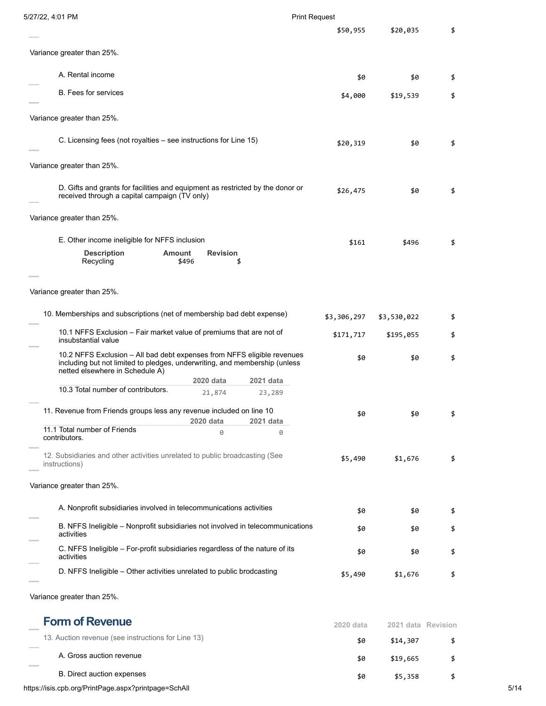| 5/27/22, 4:01 PM                                                                                                                                                             |                          |           | <b>Print Request</b>     |                          |          |  |
|------------------------------------------------------------------------------------------------------------------------------------------------------------------------------|--------------------------|-----------|--------------------------|--------------------------|----------|--|
|                                                                                                                                                                              |                          |           | \$50,955                 | \$20,035                 | \$       |  |
| Variance greater than 25%.                                                                                                                                                   |                          |           |                          |                          |          |  |
| A. Rental income                                                                                                                                                             |                          |           | \$0                      | \$0                      | \$       |  |
| <b>B.</b> Fees for services                                                                                                                                                  |                          |           | \$4,000                  | \$19,539                 | \$       |  |
| Variance greater than 25%.                                                                                                                                                   |                          |           |                          |                          |          |  |
| C. Licensing fees (not royalties – see instructions for Line 15)                                                                                                             |                          |           | \$20,319                 | \$0                      | \$       |  |
| Variance greater than 25%.                                                                                                                                                   |                          |           |                          |                          |          |  |
| D. Gifts and grants for facilities and equipment as restricted by the donor or<br>received through a capital campaign (TV only)                                              |                          |           | \$26,475                 | \$0                      | \$       |  |
| Variance greater than 25%.                                                                                                                                                   |                          |           |                          |                          |          |  |
| E. Other income ineligible for NFFS inclusion                                                                                                                                |                          |           | \$161                    | \$496                    | \$       |  |
| <b>Description</b><br><b>Amount</b><br>Recycling                                                                                                                             | <b>Revision</b><br>\$496 | \$        |                          |                          |          |  |
| Variance greater than 25%.<br>10. Memberships and subscriptions (net of membership bad debt expense)<br>10.1 NFFS Exclusion – Fair market value of premiums that are not of  |                          |           | \$3,306,297<br>\$171,717 | \$3,530,022<br>\$195,055 | \$<br>\$ |  |
| insubstantial value<br>10.2 NFFS Exclusion - All bad debt expenses from NFFS eligible revenues<br>including but not limited to pledges, underwriting, and membership (unless |                          |           | \$0                      | \$0                      | \$       |  |
| netted elsewhere in Schedule A)                                                                                                                                              | 2020 data                | 2021 data |                          |                          |          |  |
| 10.3 Total number of contributors.                                                                                                                                           | 21,874                   | 23,289    |                          |                          |          |  |
| 11. Revenue from Friends groups less any revenue included on line 10                                                                                                         | 2020 data                | 2021 data | \$0                      | \$0                      | \$       |  |
| 11.1 Total number of Friends<br>contributors.                                                                                                                                | 0                        | 0         |                          |                          |          |  |
| 12. Subsidiaries and other activities unrelated to public broadcasting (See<br>instructions)                                                                                 |                          |           | \$5,490                  | \$1,676                  | \$       |  |
| Variance greater than 25%.                                                                                                                                                   |                          |           |                          |                          |          |  |
| A. Nonprofit subsidiaries involved in telecommunications activities                                                                                                          |                          |           | \$0                      | \$0                      | \$       |  |
| B. NFFS Ineligible - Nonprofit subsidiaries not involved in telecommunications<br>activities                                                                                 |                          |           | \$0                      | \$0                      | \$       |  |
| C. NFFS Ineligible - For-profit subsidiaries regardless of the nature of its<br>activities                                                                                   |                          |           | \$0                      | \$0                      | \$       |  |
| D. NFFS Ineligible - Other activities unrelated to public brodcasting                                                                                                        |                          |           | \$5,490                  | \$1,676                  | \$       |  |
| Variance greater than 25%.                                                                                                                                                   |                          |           |                          |                          |          |  |

**Form of Revenue 2020 data 2021 data Revision** 13. Auction revenue (see instructions for Line 13) **\$0** \$14,307 \$ A. Gross auction revenue  $\frac{1}{2}$  \$19,665 \$ B. Direct auction expenses  $\frac{1}{2}$  \$5,358 \$

https://isis.cpb.org/PrintPage.aspx?printpage=SchAll 5/14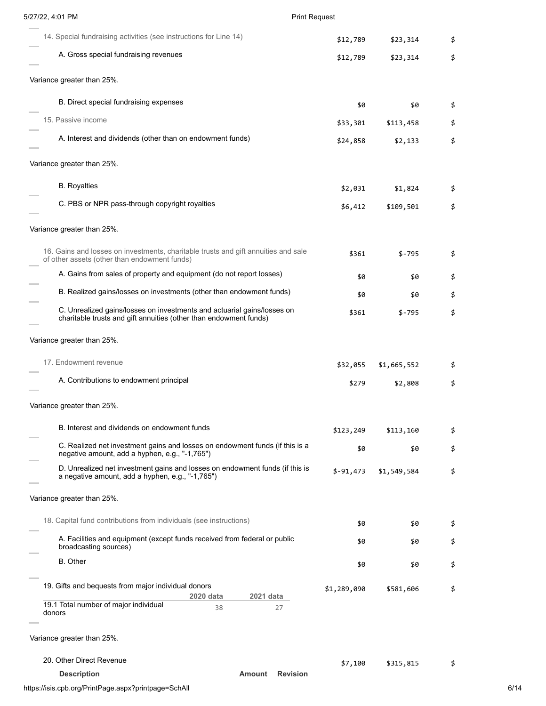| 5/27/22, 4:01 PM                                                                                                                             | <b>Print Request</b> |             |    |
|----------------------------------------------------------------------------------------------------------------------------------------------|----------------------|-------------|----|
| 14. Special fundraising activities (see instructions for Line 14)                                                                            | \$12,789             | \$23,314    | \$ |
| A. Gross special fundraising revenues                                                                                                        | \$12,789             | \$23,314    | \$ |
| Variance greater than 25%.                                                                                                                   |                      |             |    |
| B. Direct special fundraising expenses                                                                                                       | \$0                  | \$0         | \$ |
| 15. Passive income                                                                                                                           | \$33,301             | \$113,458   | \$ |
| A. Interest and dividends (other than on endowment funds)                                                                                    | \$24,858             | \$2,133     | \$ |
| Variance greater than 25%.                                                                                                                   |                      |             |    |
| <b>B.</b> Royalties                                                                                                                          | \$2,031              | \$1,824     | \$ |
| C. PBS or NPR pass-through copyright royalties                                                                                               | \$6,412              | \$109,501   | \$ |
| Variance greater than 25%.                                                                                                                   |                      |             |    |
| 16. Gains and losses on investments, charitable trusts and gift annuities and sale<br>of other assets (other than endowment funds)           | \$361                | \$-795      | \$ |
| A. Gains from sales of property and equipment (do not report losses)                                                                         | \$0                  | \$0         | \$ |
| B. Realized gains/losses on investments (other than endowment funds)                                                                         | \$0                  | \$0         | \$ |
| C. Unrealized gains/losses on investments and actuarial gains/losses on<br>charitable trusts and gift annuities (other than endowment funds) | \$361                | $$-795$     | \$ |
| Variance greater than 25%.                                                                                                                   |                      |             |    |
| 17. Endowment revenue                                                                                                                        | \$32,055             | \$1,665,552 |    |
| A. Contributions to endowment principal                                                                                                      | \$279                | \$2,808     | \$ |
| Variance greater than 25%.                                                                                                                   |                      |             |    |
| B. Interest and dividends on endowment funds                                                                                                 | \$123,249            | \$113,160   | \$ |
| C. Realized net investment gains and losses on endowment funds (if this is a<br>negative amount, add a hyphen, e.g., "-1,765")               | \$0                  | \$0         | \$ |
| D. Unrealized net investment gains and losses on endowment funds (if this is<br>a negative amount, add a hyphen, e.g., "-1,765")             | $$-91,473$           | \$1,549,584 | \$ |
| Variance greater than 25%.                                                                                                                   |                      |             |    |
| 18. Capital fund contributions from individuals (see instructions)                                                                           | \$0                  | \$0         | \$ |
| A. Facilities and equipment (except funds received from federal or public<br>broadcasting sources)                                           | \$0                  | \$0         | \$ |
| <b>B.</b> Other                                                                                                                              | \$0                  | \$0         | \$ |
| 19. Gifts and bequests from major individual donors<br>2020 data<br>2021 data                                                                | \$1,289,090          | \$581,606   | \$ |
| 19.1 Total number of major individual<br>38<br>27<br>donors                                                                                  |                      |             |    |
| Variance greater than 25%.                                                                                                                   |                      |             |    |
| 20. Other Direct Revenue                                                                                                                     | \$7,100              | \$315,815   |    |
| <b>Revision</b><br><b>Description</b><br><b>Amount</b>                                                                                       |                      |             |    |

# https://isis.cpb.org/PrintPage.aspx?printpage=SchAll 6/14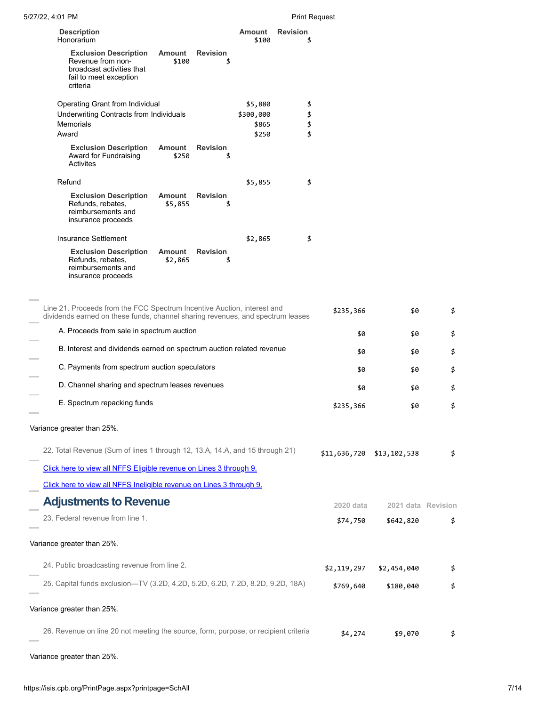| 5/27/22, 4:01 PM                                                                                                                                                                                       |                                |                      | <b>Print Request</b>  |             |                           |    |
|--------------------------------------------------------------------------------------------------------------------------------------------------------------------------------------------------------|--------------------------------|----------------------|-----------------------|-------------|---------------------------|----|
| <b>Description</b><br>Honorarium                                                                                                                                                                       |                                | Amount<br>\$100      | <b>Revision</b><br>\$ |             |                           |    |
| <b>Exclusion Description</b><br>Amount<br>Revenue from non-<br>broadcast activities that<br>fail to meet exception<br>criteria                                                                         | <b>Revision</b><br>\$100<br>\$ |                      |                       |             |                           |    |
| Operating Grant from Individual<br>Underwriting Contracts from Individuals                                                                                                                             |                                | \$5,880<br>\$300,000 | \$<br>\$              |             |                           |    |
| Memorials<br>Award                                                                                                                                                                                     |                                | \$865<br>\$250       | \$<br>\$              |             |                           |    |
| <b>Exclusion Description</b><br><b>Amount</b><br>Award for Fundraising<br>Activites                                                                                                                    | <b>Revision</b><br>\$250<br>\$ |                      |                       |             |                           |    |
| Refund                                                                                                                                                                                                 |                                | \$5,855              | \$                    |             |                           |    |
| <b>Exclusion Description</b><br><b>Amount</b><br>Refunds, rebates,<br>\$5,855<br>reimbursements and<br>insurance proceeds                                                                              | <b>Revision</b><br>\$          |                      |                       |             |                           |    |
| <b>Insurance Settlement</b>                                                                                                                                                                            |                                | \$2,865              | \$                    |             |                           |    |
| <b>Exclusion Description</b><br><b>Amount</b><br>Refunds, rebates,<br>\$2,865<br>reimbursements and<br>insurance proceeds                                                                              | <b>Revision</b><br>\$          |                      |                       |             |                           |    |
| Line 21. Proceeds from the FCC Spectrum Incentive Auction, interest and<br>dividends earned on these funds, channel sharing revenues, and spectrum leases<br>A. Proceeds from sale in spectrum auction |                                |                      |                       | \$235,366   | \$0                       | \$ |
|                                                                                                                                                                                                        |                                |                      |                       | \$0         | \$0                       | \$ |
| B. Interest and dividends earned on spectrum auction related revenue                                                                                                                                   |                                |                      |                       | \$0         | \$0                       | \$ |
| C. Payments from spectrum auction speculators                                                                                                                                                          |                                |                      |                       | \$0         | \$0                       | \$ |
| D. Channel sharing and spectrum leases revenues                                                                                                                                                        |                                |                      |                       | \$0         | \$0                       | \$ |
| E. Spectrum repacking funds                                                                                                                                                                            |                                |                      |                       | \$235,366   | \$0                       | \$ |
| Variance greater than 25%.                                                                                                                                                                             |                                |                      |                       |             |                           |    |
| 22. Total Revenue (Sum of lines 1 through 12, 13.A, 14.A, and 15 through 21)                                                                                                                           |                                |                      |                       |             | \$11,636,720 \$13,102,538 | \$ |
| Click here to view all NFFS Eligible revenue on Lines 3 through 9.                                                                                                                                     |                                |                      |                       |             |                           |    |
| Click here to view all NFFS Ineligible revenue on Lines 3 through 9.                                                                                                                                   |                                |                      |                       |             |                           |    |
| <b>Adjustments to Revenue</b>                                                                                                                                                                          |                                |                      |                       | 2020 data   | 2021 data Revision        |    |
| 23. Federal revenue from line 1.                                                                                                                                                                       |                                |                      |                       | \$74,750    | \$642,820                 | \$ |
|                                                                                                                                                                                                        |                                |                      |                       |             |                           |    |
| Variance greater than 25%.                                                                                                                                                                             |                                |                      |                       |             |                           |    |
| 24. Public broadcasting revenue from line 2.                                                                                                                                                           |                                |                      |                       | \$2,119,297 | \$2,454,040               | \$ |
| 25. Capital funds exclusion-TV (3.2D, 4.2D, 5.2D, 6.2D, 7.2D, 8.2D, 9.2D, 18A)                                                                                                                         |                                |                      |                       | \$769,640   | \$180,040                 | \$ |
| Variance greater than 25%.                                                                                                                                                                             |                                |                      |                       |             |                           |    |
| 26. Revenue on line 20 not meeting the source, form, purpose, or recipient criteria                                                                                                                    |                                |                      |                       | \$4,274     | \$9,070                   | \$ |

Variance greater than 25%.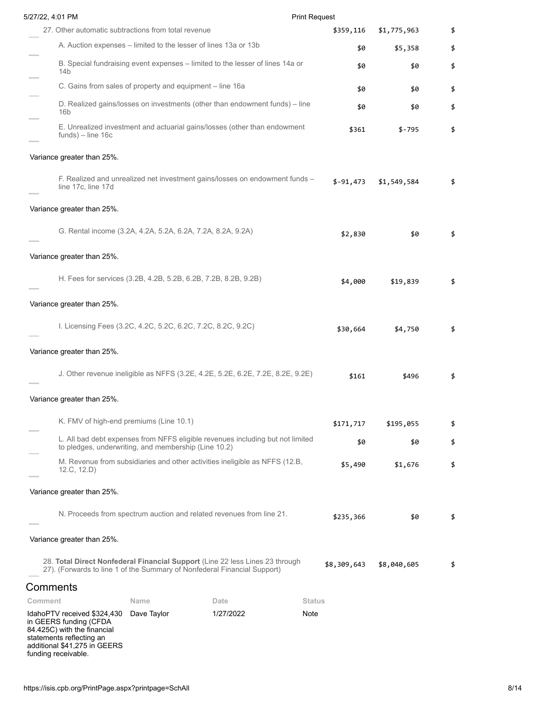| 5/27/22, 4:01 PM                                                                                                                                         |             |                                                                                | <b>Print Request</b> |             |             |    |
|----------------------------------------------------------------------------------------------------------------------------------------------------------|-------------|--------------------------------------------------------------------------------|----------------------|-------------|-------------|----|
| 27. Other automatic subtractions from total revenue                                                                                                      |             |                                                                                |                      | \$359,116   | \$1,775,963 | \$ |
|                                                                                                                                                          |             | A. Auction expenses – limited to the lesser of lines 13a or 13b                |                      | \$0         | \$5,358     | \$ |
| 14b                                                                                                                                                      |             | B. Special fundraising event expenses - limited to the lesser of lines 14a or  |                      | \$0         | \$0         | \$ |
| C. Gains from sales of property and equipment - line 16a                                                                                                 |             |                                                                                |                      | \$0         | \$0         | \$ |
| 16b                                                                                                                                                      |             | D. Realized gains/losses on investments (other than endowment funds) – line    |                      | \$0         | \$0         | \$ |
| $funds$ ) – line 16c                                                                                                                                     |             | E. Unrealized investment and actuarial gains/losses (other than endowment      |                      | \$361       | \$-795      | \$ |
| Variance greater than 25%.                                                                                                                               |             |                                                                                |                      |             |             |    |
| line 17c, line 17d                                                                                                                                       |             | F. Realized and unrealized net investment gains/losses on endowment funds -    |                      | $$-91,473$  | \$1,549,584 | \$ |
| Variance greater than 25%.                                                                                                                               |             |                                                                                |                      |             |             |    |
| G. Rental income (3.2A, 4.2A, 5.2A, 6.2A, 7.2A, 8.2A, 9.2A)                                                                                              |             |                                                                                |                      | \$2,830     | \$0         | \$ |
| Variance greater than 25%.                                                                                                                               |             |                                                                                |                      |             |             |    |
|                                                                                                                                                          |             | H. Fees for services (3.2B, 4.2B, 5.2B, 6.2B, 7.2B, 8.2B, 9.2B)                |                      | \$4,000     | \$19,839    | \$ |
| Variance greater than 25%.                                                                                                                               |             |                                                                                |                      |             |             |    |
| I. Licensing Fees (3.2C, 4.2C, 5.2C, 6.2C, 7.2C, 8.2C, 9.2C)                                                                                             |             |                                                                                |                      | \$30,664    | \$4,750     | \$ |
| Variance greater than 25%.                                                                                                                               |             |                                                                                |                      |             |             |    |
|                                                                                                                                                          |             | J. Other revenue ineligible as NFFS (3.2E, 4.2E, 5.2E, 6.2E, 7.2E, 8.2E, 9.2E) |                      | \$161       | \$496       |    |
| Variance greater than 25%.                                                                                                                               |             |                                                                                |                      |             |             |    |
| K. FMV of high-end premiums (Line 10.1)                                                                                                                  |             |                                                                                |                      | \$171,717   | \$195,055   | \$ |
| to pledges, underwriting, and membership (Line 10.2)                                                                                                     |             | L. All bad debt expenses from NFFS eligible revenues including but not limited |                      | \$0         | \$0         | \$ |
| 12.C, 12.D                                                                                                                                               |             | M. Revenue from subsidiaries and other activities ineligible as NFFS (12.B,    |                      | \$5,490     | \$1,676     | \$ |
| Variance greater than 25%.                                                                                                                               |             |                                                                                |                      |             |             |    |
|                                                                                                                                                          |             | N. Proceeds from spectrum auction and related revenues from line 21.           |                      | \$235,366   | \$0         | \$ |
| Variance greater than 25%.                                                                                                                               |             |                                                                                |                      |             |             |    |
| 28. Total Direct Nonfederal Financial Support (Line 22 less Lines 23 through<br>27). (Forwards to line 1 of the Summary of Nonfederal Financial Support) |             |                                                                                |                      | \$8,309,643 | \$8,040,605 | \$ |
| Comments                                                                                                                                                 |             |                                                                                |                      |             |             |    |
| Comment                                                                                                                                                  | Name        | Date                                                                           | <b>Status</b>        |             |             |    |
| IdahoPTV received \$324,430<br>in GEERS funding (CFDA<br>84.425C) with the financial<br>statements reflecting an<br>additional \$41,275 in GEERS         | Dave Taylor | 1/27/2022                                                                      | Note                 |             |             |    |

funding receivable.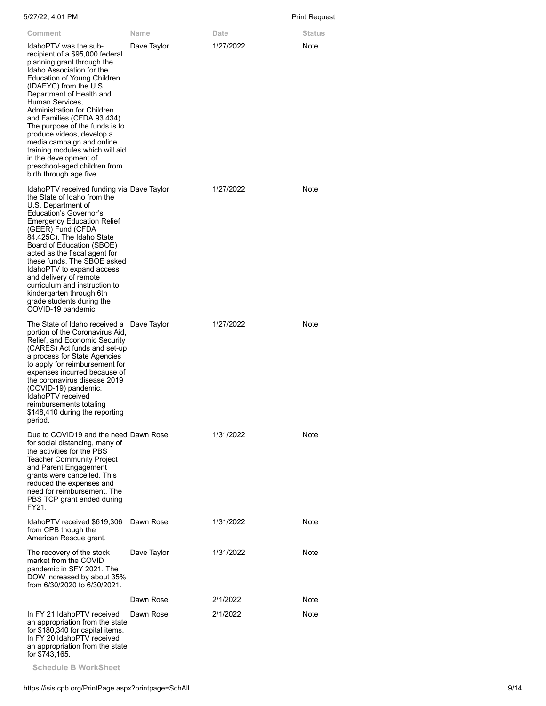| 5/27/22, 4:01 PM                                                                                                                                                                                                                                                                                                                                                                                                                                                                                             |             |           | Print Request |
|--------------------------------------------------------------------------------------------------------------------------------------------------------------------------------------------------------------------------------------------------------------------------------------------------------------------------------------------------------------------------------------------------------------------------------------------------------------------------------------------------------------|-------------|-----------|---------------|
| Comment                                                                                                                                                                                                                                                                                                                                                                                                                                                                                                      | Name        | Date      | Status        |
| IdahoPTV was the sub-<br>recipient of a \$95,000 federal<br>planning grant through the<br>Idaho Association for the<br>Education of Young Children<br>(IDAEYC) from the U.S.<br>Department of Health and<br>Human Services,<br>Administration for Children<br>and Families (CFDA 93.434).<br>The purpose of the funds is to<br>produce videos, develop a<br>media campaign and online<br>training modules which will aid<br>in the development of<br>preschool-aged children from<br>birth through age five. | Dave Taylor | 1/27/2022 | Note          |
| IdahoPTV received funding via Dave Taylor<br>the State of Idaho from the<br>U.S. Department of<br>Education's Governor's<br><b>Emergency Education Relief</b><br>(GEER) Fund (CFDA<br>84.425C). The Idaho State<br>Board of Education (SBOE)<br>acted as the fiscal agent for<br>these funds. The SBOE asked<br>IdahoPTV to expand access<br>and delivery of remote<br>curriculum and instruction to<br>kindergarten through 6th<br>grade students during the<br>COVID-19 pandemic.                          |             | 1/27/2022 | <b>Note</b>   |
| The State of Idaho received a Dave Taylor<br>portion of the Coronavirus Aid,<br>Relief, and Economic Security<br>(CARES) Act funds and set-up<br>a process for State Agencies<br>to apply for reimbursement for<br>expenses incurred because of<br>the coronavirus disease 2019<br>(COVID-19) pandemic.<br>IdahoPTV received<br>reimbursements totaling<br>\$148,410 during the reporting<br>period.                                                                                                         |             | 1/27/2022 | Note          |
| Due to COVID19 and the need Dawn Rose<br>for social distancing, many of<br>the activities for the PBS<br><b>Teacher Community Project</b><br>and Parent Engagement<br>grants were cancelled. This<br>reduced the expenses and<br>need for reimbursement. The<br>PBS TCP grant ended during<br>FY21.                                                                                                                                                                                                          |             | 1/31/2022 | Note          |
| IdahoPTV received \$619,306<br>from CPB though the<br>American Rescue grant.                                                                                                                                                                                                                                                                                                                                                                                                                                 | Dawn Rose   | 1/31/2022 | Note          |
| The recovery of the stock<br>market from the COVID<br>pandemic in SFY 2021. The<br>DOW increased by about 35%<br>from 6/30/2020 to 6/30/2021.                                                                                                                                                                                                                                                                                                                                                                | Dave Taylor | 1/31/2022 | Note          |
|                                                                                                                                                                                                                                                                                                                                                                                                                                                                                                              | Dawn Rose   | 2/1/2022  | Note          |
| In FY 21 IdahoPTV received<br>an appropriation from the state<br>for \$180,340 for capital items.                                                                                                                                                                                                                                                                                                                                                                                                            | Dawn Rose   | 2/1/2022  | Note          |

In FY 20 IdahoPTV received an appropriation from the state for \$743,165.

**Schedule B WorkSheet**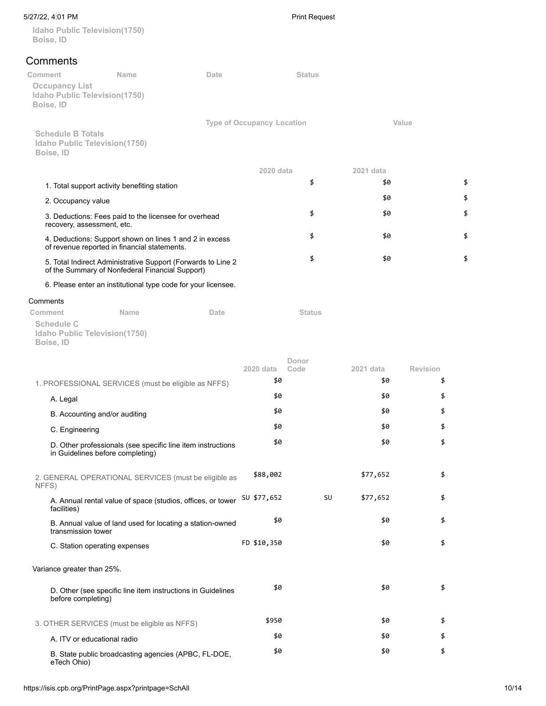## 5/27/22, 4:01 PM Print Request

**Idaho Public Television(1750) Boise, ID**

# **Comments**

| Comment                                   | Name                                                                                                            | Date |                                   | <b>Status</b> |           |                 |    |
|-------------------------------------------|-----------------------------------------------------------------------------------------------------------------|------|-----------------------------------|---------------|-----------|-----------------|----|
| <b>Occupancy List</b><br>Boise, ID        | Idaho Public Television(1750)                                                                                   |      |                                   |               |           |                 |    |
|                                           |                                                                                                                 |      | <b>Type of Occupancy Location</b> |               |           | Value           |    |
| <b>Schedule B Totals</b><br>Boise, ID     | Idaho Public Television(1750)                                                                                   |      |                                   |               |           |                 |    |
|                                           |                                                                                                                 |      | 2020 data                         |               | 2021 data |                 |    |
|                                           | 1. Total support activity benefiting station                                                                    |      |                                   | \$            | \$0       |                 | \$ |
|                                           | 2. Occupancy value                                                                                              |      |                                   |               | \$0       |                 | \$ |
|                                           | 3. Deductions: Fees paid to the licensee for overhead<br>recovery, assessment, etc.                             |      |                                   | \$            | \$0       |                 | \$ |
|                                           | 4. Deductions: Support shown on lines 1 and 2 in excess<br>of revenue reported in financial statements.         |      |                                   | \$            | \$0       |                 | \$ |
|                                           | 5. Total Indirect Administrative Support (Forwards to Line 2<br>of the Summary of Nonfederal Financial Support) |      |                                   | \$            | \$0       |                 | \$ |
|                                           | 6. Please enter an institutional type code for your licensee.                                                   |      |                                   |               |           |                 |    |
| Comments                                  |                                                                                                                 |      |                                   |               |           |                 |    |
| Comment<br><b>Schedule C</b><br>Boise, ID | Name<br>Idaho Public Television(1750)                                                                           | Date |                                   | <b>Status</b> |           |                 |    |
|                                           |                                                                                                                 |      | 2020 data                         | Donor<br>Code | 2021 data | <b>Revision</b> |    |
|                                           | 1. PROFESSIONAL SERVICES (must be eligible as NFFS)                                                             |      | \$0                               |               | \$0       | \$              |    |
| A. Legal                                  |                                                                                                                 |      | \$0                               |               | \$0       | \$              |    |
|                                           | B. Accounting and/or auditing                                                                                   |      | \$0                               |               | \$0       | \$              |    |
|                                           | C. Engineering                                                                                                  |      | \$0                               |               | \$0       | \$              |    |
|                                           | D. Other professionals (see specific line item instructions<br>in Guidelines before completing)                 |      | \$0                               |               | \$0       | \$              |    |
| NFFS)                                     | 2. GENERAL OPERATIONAL SERVICES (must be eligible as                                                            |      | \$88,002                          |               | \$77,652  | \$              |    |
| facilities)                               | A. Annual rental value of space (studios, offices, or tower                                                     |      | SU \$77,652                       | SU            | \$77,652  | \$              |    |
|                                           | B. Annual value of land used for locating a station-owned<br>transmission tower                                 |      | \$0                               |               | \$0       | \$              |    |
|                                           | C. Station operating expenses                                                                                   |      | FD \$10,350                       |               | \$0       | \$              |    |
|                                           | Variance greater than 25%.                                                                                      |      |                                   |               |           |                 |    |
|                                           | D. Other (see specific line item instructions in Guidelines<br>before completing)                               |      | \$0                               |               | \$0       | \$              |    |
|                                           | 3. OTHER SERVICES (must be eligible as NFFS)                                                                    |      | \$950                             |               | \$0       | \$              |    |
|                                           | A. ITV or educational radio                                                                                     |      | \$0                               |               | \$0       | \$              |    |
| eTech Ohio)                               | B. State public broadcasting agencies (APBC, FL-DOE,                                                            |      | \$0                               |               | \$0       | \$              |    |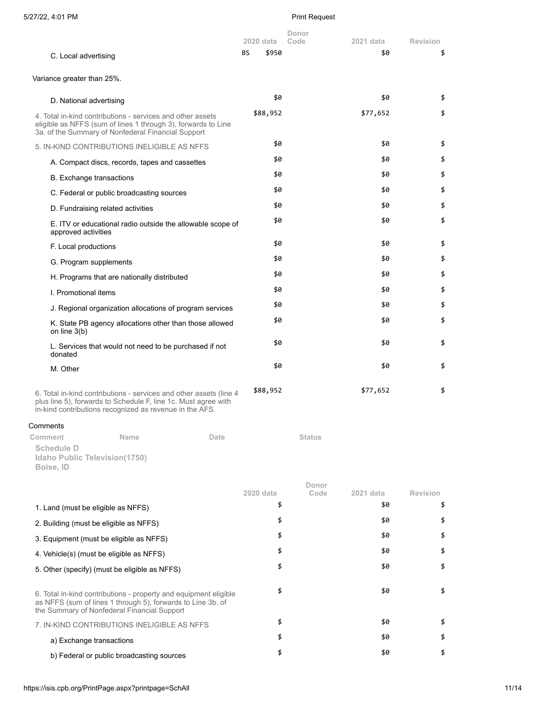| 5/27/22, 4:01 PM                                                                                                                                                                                |             | <b>Print Request</b> |           |                 |
|-------------------------------------------------------------------------------------------------------------------------------------------------------------------------------------------------|-------------|----------------------|-----------|-----------------|
|                                                                                                                                                                                                 | 2020 data   | Donor<br>Code        | 2021 data | <b>Revision</b> |
| C. Local advertising                                                                                                                                                                            | BS<br>\$950 |                      | \$0       | \$              |
| Variance greater than 25%.                                                                                                                                                                      |             |                      |           |                 |
| D. National advertising                                                                                                                                                                         | \$0         |                      | \$0       | \$              |
| 4. Total in-kind contributions - services and other assets<br>eligible as NFFS (sum of lines 1 through 3), forwards to Line<br>3a. of the Summary of Nonfederal Financial Support               | \$88,952    |                      | \$77,652  | \$              |
| 5. IN-KIND CONTRIBUTIONS INELIGIBLE AS NFFS                                                                                                                                                     | \$0         |                      | \$0       | \$              |
| A. Compact discs, records, tapes and cassettes                                                                                                                                                  | \$0         |                      | \$0       | \$              |
| <b>B.</b> Exchange transactions                                                                                                                                                                 | \$0         |                      | \$0       | \$              |
| C. Federal or public broadcasting sources                                                                                                                                                       | \$0         |                      | \$0       | \$              |
| D. Fundraising related activities                                                                                                                                                               | \$0         |                      | \$0       | \$              |
| E. ITV or educational radio outside the allowable scope of<br>approved activities                                                                                                               | \$0         |                      | \$0       | \$              |
| F. Local productions                                                                                                                                                                            | \$0         |                      | \$0       | \$              |
| G. Program supplements                                                                                                                                                                          | \$0         |                      | \$0       | \$              |
| H. Programs that are nationally distributed                                                                                                                                                     | \$0         |                      | \$0       | \$              |
| I. Promotional items                                                                                                                                                                            | \$0         |                      | \$0       | \$              |
| J. Regional organization allocations of program services                                                                                                                                        | \$0         |                      | \$0       | \$              |
| K. State PB agency allocations other than those allowed<br>on line $3(b)$                                                                                                                       | \$0         |                      | \$0       | \$              |
| L. Services that would not need to be purchased if not<br>donated                                                                                                                               | \$0         |                      | \$0       | \$              |
| M. Other                                                                                                                                                                                        | \$0         |                      | \$0       | \$              |
| 6. Total in-kind contributions - services and other assets (line 4<br>plus line 5), forwards to Schedule F, line 1c. Must agree with<br>in-kind contributions recognized as revenue in the AFS. | \$88,952    |                      | \$77,652  | \$              |
| Comments                                                                                                                                                                                        |             |                      |           |                 |
| Comment<br>Name<br>Date<br><b>Schedule D</b><br>Idaho Public Television(1750)<br>Boise, ID                                                                                                      |             | <b>Status</b>        |           |                 |
|                                                                                                                                                                                                 |             | Donor                |           |                 |
|                                                                                                                                                                                                 | 2020 data   | Code                 | 2021 data | <b>Revision</b> |
| 1. Land (must be eligible as NFFS)                                                                                                                                                              | \$          |                      | \$0       | \$              |
| 2. Building (must be eligible as NFFS)                                                                                                                                                          | \$          |                      | \$0       | \$              |
| 3. Equipment (must be eligible as NFFS)                                                                                                                                                         | \$          |                      | \$0       | \$              |
| 4. Vehicle(s) (must be eligible as NFFS)                                                                                                                                                        | \$          |                      | \$0       | \$              |
| 5. Other (specify) (must be eligible as NFFS)                                                                                                                                                   | \$          |                      | \$0       | \$              |
| 6. Total in-kind contributions - property and equipment eligible<br>as NFFS (sum of lines 1 through 5), forwards to Line 3b. of<br>the Summary of Nonfederal Financial Support                  | \$          |                      | \$0       | \$              |
| 7. IN-KIND CONTRIBUTIONS INELIGIBLE AS NFFS                                                                                                                                                     | \$          |                      | \$0       | \$              |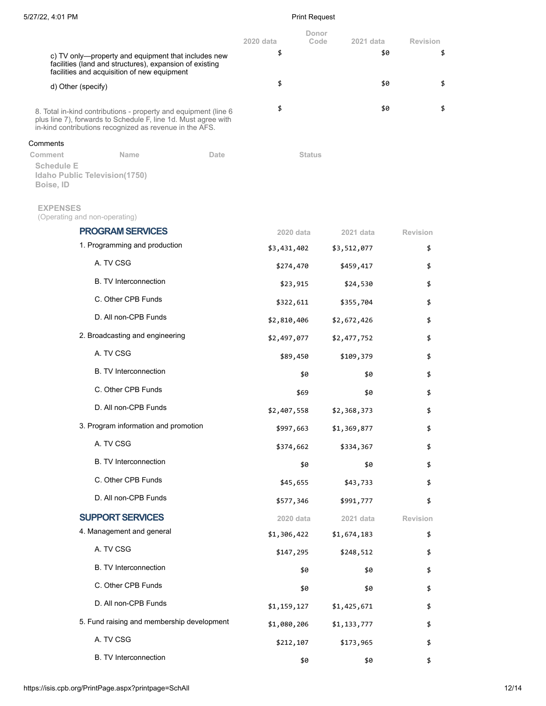|                                                                                                                                                                                              |      | Donor<br>2020 data<br>Code | 2021 data   | Revision        |
|----------------------------------------------------------------------------------------------------------------------------------------------------------------------------------------------|------|----------------------------|-------------|-----------------|
| c) TV only-property and equipment that includes new<br>facilities (land and structures), expansion of existing<br>facilities and acquisition of new equipment                                |      | \$                         | \$0         | \$              |
| d) Other (specify)                                                                                                                                                                           |      | \$                         | \$0         | \$              |
| 8. Total in-kind contributions - property and equipment (line 6<br>plus line 7), forwards to Schedule F, line 1d. Must agree with<br>in-kind contributions recognized as revenue in the AFS. |      | \$                         | \$0         | \$              |
| Comments                                                                                                                                                                                     |      |                            |             |                 |
| <b>Name</b><br>Comment<br><b>Schedule E</b><br>Idaho Public Television(1750)<br>Boise, ID                                                                                                    | Date | <b>Status</b>              |             |                 |
| <b>EXPENSES</b><br>(Operating and non-operating)                                                                                                                                             |      |                            |             |                 |
| <b>PROGRAM SERVICES</b>                                                                                                                                                                      |      | 2020 data                  | 2021 data   | <b>Revision</b> |
| 1. Programming and production                                                                                                                                                                |      | \$3,431,402                | \$3,512,077 | \$              |
| A. TV CSG                                                                                                                                                                                    |      | \$274,470                  | \$459,417   | \$              |
| <b>B.</b> TV Interconnection                                                                                                                                                                 |      | \$23,915                   | \$24,530    | \$              |
| C. Other CPB Funds                                                                                                                                                                           |      | \$322,611                  | \$355,704   | \$              |
| D. All non-CPB Funds                                                                                                                                                                         |      | \$2,810,406                | \$2,672,426 | \$              |
| 2. Broadcasting and engineering                                                                                                                                                              |      | \$2,497,077                | \$2,477,752 | \$              |
| A. TV CSG                                                                                                                                                                                    |      | \$89,450                   | \$109,379   | \$              |
| <b>B. TV Interconnection</b>                                                                                                                                                                 |      | \$0                        | \$0         | \$              |
| C. Other CPB Funds                                                                                                                                                                           |      | \$69                       | \$0         | \$              |
| D. All non-CPB Funds                                                                                                                                                                         |      | \$2,407,558                | \$2,368,373 | \$              |
| 3. Program information and promotion                                                                                                                                                         |      | \$997,663                  | \$1,369,877 | \$              |
| A. TV CSG                                                                                                                                                                                    |      | \$374,662                  | \$334,367   | \$              |
| <b>B. TV Interconnection</b>                                                                                                                                                                 |      | \$0                        | \$0         | \$              |
| C. Other CPB Funds                                                                                                                                                                           |      | \$45,655                   | \$43,733    | \$              |
| D. All non-CPB Funds                                                                                                                                                                         |      | \$577,346                  | \$991,777   | \$              |
| <b>SUPPORT SERVICES</b>                                                                                                                                                                      |      | 2020 data                  | 2021 data   | Revision        |
| 4. Management and general                                                                                                                                                                    |      | \$1,306,422                | \$1,674,183 | \$              |
| A. TV CSG                                                                                                                                                                                    |      | \$147,295                  | \$248,512   | \$              |
| B. TV Interconnection                                                                                                                                                                        |      | \$0                        | \$0         | \$              |
| C. Other CPB Funds                                                                                                                                                                           |      | \$0                        | \$0         | \$              |
| D. All non-CPB Funds                                                                                                                                                                         |      | \$1,159,127                | \$1,425,671 | \$              |
| 5. Fund raising and membership development                                                                                                                                                   |      | \$1,080,206                | \$1,133,777 | \$              |
| A. TV CSG                                                                                                                                                                                    |      | \$212,107                  | \$173,965   | \$              |
| B. TV Interconnection                                                                                                                                                                        |      | \$0                        | \$0         | \$              |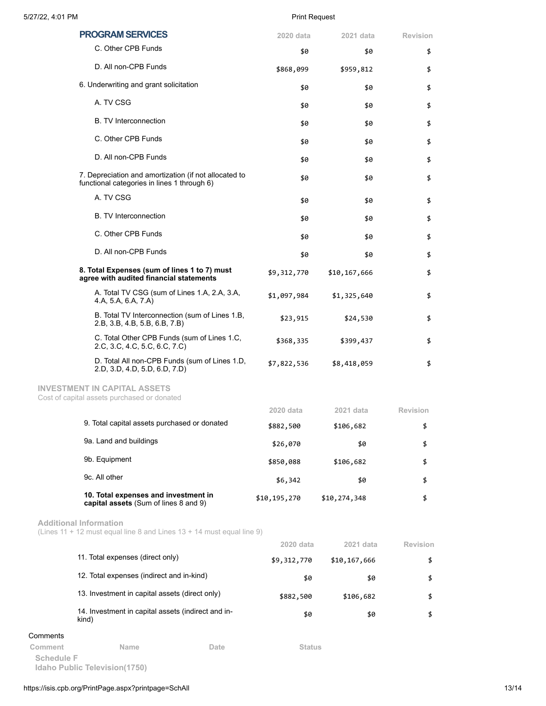|          | <b>PROGRAM SERVICES</b>                                                                                | 2020 data                | 2021 data                 | <b>Revision</b>       |
|----------|--------------------------------------------------------------------------------------------------------|--------------------------|---------------------------|-----------------------|
|          | C. Other CPB Funds                                                                                     | \$0                      | \$0                       | \$                    |
|          | D. All non-CPB Funds                                                                                   | \$868,099                | \$959,812                 | \$                    |
|          | 6. Underwriting and grant solicitation                                                                 | \$0                      | \$0                       | \$                    |
|          | A. TV CSG                                                                                              | \$0                      | \$0                       | \$                    |
|          | <b>B. TV Interconnection</b>                                                                           | \$0                      | \$0                       | \$                    |
|          | C. Other CPB Funds                                                                                     | \$0                      | \$0                       | \$                    |
|          | D. All non-CPB Funds                                                                                   | \$0                      | \$0                       | \$                    |
|          | 7. Depreciation and amortization (if not allocated to<br>functional categories in lines 1 through 6)   | \$0                      | \$0                       | \$                    |
|          | A. TV CSG                                                                                              | \$0                      | \$0                       | \$                    |
|          | <b>B.</b> TV Interconnection                                                                           | \$0                      | \$0                       | \$                    |
|          | C. Other CPB Funds                                                                                     | \$0                      | \$0                       | \$                    |
|          | D. All non-CPB Funds                                                                                   | \$0                      | \$0                       | \$                    |
|          | 8. Total Expenses (sum of lines 1 to 7) must<br>agree with audited financial statements                | \$9,312,770              | \$10,167,666              | \$                    |
|          | A. Total TV CSG (sum of Lines 1.A, 2.A, 3.A,<br>4.A, 5.A, 6.A, 7.A)                                    | \$1,097,984              | \$1,325,640               | \$                    |
|          | B. Total TV Interconnection (sum of Lines 1.B,<br>2.B, 3.B, 4.B, 5.B, 6.B, 7.B)                        | \$23,915                 | \$24,530                  | \$                    |
|          | C. Total Other CPB Funds (sum of Lines 1.C.<br>2.C, 3.C, 4.C, 5.C, 6.C, 7.C)                           | \$368,335                | \$399,437                 | \$                    |
|          | D. Total All non-CPB Funds (sum of Lines 1.D,<br>2.D, 3.D, 4.D, 5.D, 6.D, 7.D)                         | \$7,822,536              | \$8,418,059               | \$                    |
|          | <b>INVESTMENT IN CAPITAL ASSETS</b><br>Cost of capital assets purchased or donated                     |                          |                           |                       |
|          |                                                                                                        | 2020 data                | 2021 data                 | Revision              |
|          | 9. Total capital assets purchased or donated                                                           | \$882,500                | \$106,682                 | \$                    |
|          | 9a. Land and buildings                                                                                 | \$26,070                 | \$0                       | \$                    |
|          | 9b. Equipment                                                                                          | \$850,088                | \$106,682                 | \$                    |
|          | 9c. All other                                                                                          | \$6,342                  | \$0                       | \$                    |
|          | 10. Total expenses and investment in<br>capital assets (Sum of lines 8 and 9)                          | \$10,195,270             | \$10,274,348              | \$                    |
|          | <b>Additional Information</b><br>(Lines 11 + 12 must equal line 8 and Lines 13 + 14 must equal line 9) |                          |                           |                       |
|          | 11. Total expenses (direct only)                                                                       | 2020 data<br>\$9,312,770 | 2021 data<br>\$10,167,666 | <b>Revision</b><br>\$ |
|          | 12. Total expenses (indirect and in-kind)                                                              | \$0                      | \$0                       | \$                    |
|          | 13. Investment in capital assets (direct only)                                                         | \$882,500                | \$106,682                 | \$                    |
|          | 14. Investment in capital assets (indirect and in-<br>kind)                                            | \$0                      | \$0                       | \$                    |
| Comments |                                                                                                        |                          |                           |                       |
| Comment  | Name<br>Date                                                                                           | <b>Status</b>            |                           |                       |

**Schedule F Idaho Public Television(1750)**